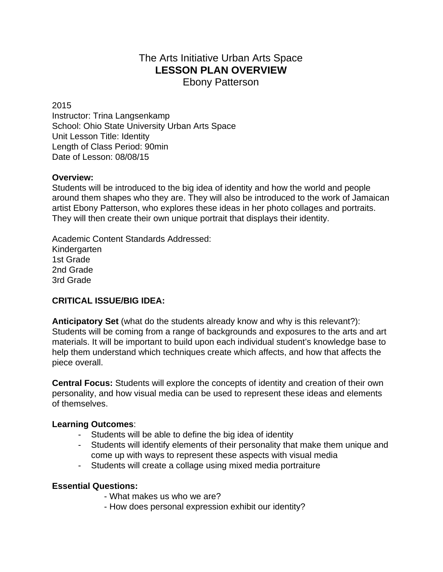# The Arts Initiative Urban Arts Space **LESSON PLAN OVERVIEW**

Ebony Patterson

#### 2015

Instructor: Trina Langsenkamp School: Ohio State University Urban Arts Space Unit Lesson Title: Identity Length of Class Period: 90min Date of Lesson: 08/08/15

#### **Overview:**

Students will be introduced to the big idea of identity and how the world and people around them shapes who they are. They will also be introduced to the work of Jamaican artist Ebony Patterson, who explores these ideas in her photo collages and portraits. They will then create their own unique portrait that displays their identity.

Academic Content Standards Addressed: Kindergarten 1st Grade 2nd Grade 3rd Grade

### **CRITICAL ISSUE/BIG IDEA:**

**Anticipatory Set** (what do the students already know and why is this relevant?): Students will be coming from a range of backgrounds and exposures to the arts and art materials. It will be important to build upon each individual student's knowledge base to help them understand which techniques create which affects, and how that affects the piece overall.

**Central Focus:** Students will explore the concepts of identity and creation of their own personality, and how visual media can be used to represent these ideas and elements of themselves.

### **Learning Outcomes**:

- Students will be able to define the big idea of identity
- Students will identify elements of their personality that make them unique and come up with ways to represent these aspects with visual media
- Students will create a collage using mixed media portraiture

### **Essential Questions:**

- What makes us who we are?
- How does personal expression exhibit our identity?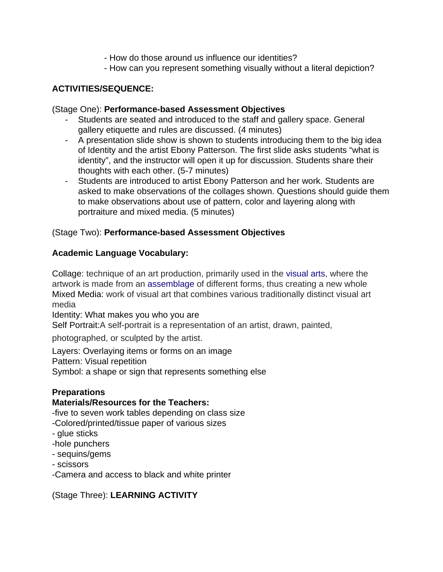- How do those around us influence our identities?
- How can you represent something visually without a literal depiction?

### **ACTIVITIES/SEQUENCE:**

#### (Stage One): **Performance-based Assessment Objectives**

- Students are seated and introduced to the staff and gallery space. General gallery etiquette and rules are discussed. (4 minutes)
- A presentation slide show is shown to students introducing them to the big idea of Identity and the artist Ebony Patterson. The first slide asks students "what is identity", and the instructor will open it up for discussion. Students share their thoughts with each other. (5-7 minutes)
- Students are introduced to artist Ebony Patterson and her work. Students are asked to make observations of the collages shown. Questions should guide them to make observations about use of pattern, color and layering along with portraiture and mixed media. (5 minutes)

#### (Stage Two): **Performance-based Assessment Objectives**

#### **Academic Language Vocabulary:**

Collage: technique of an art production, primarily used in the [visual](https://en.wikipedia.org/wiki/Visual_arts) arts, where the artwork is made from an [assemblage](https://en.wikipedia.org/wiki/Assemblage_(art)) of different forms, thus creating a new whole Mixed Media: work of visual art that combines various traditionally distinct visual art media

Identity: What makes you who you are

Self Portrait:A self-portrait is a representation of an artist, drawn, painted,

photographed, or sculpted by the artist.

Layers: Overlaying items or forms on an image

Pattern: Visual repetition

Symbol: a shape or sign that represents something else

#### **Preparations**

#### **Materials/Resources for the Teachers:**

-five to seven work tables depending on class size

-Colored/printed/tissue paper of various sizes

- glue sticks
- -hole punchers
- sequins/gems
- scissors
- -Camera and access to black and white printer

(Stage Three): **LEARNING ACTIVITY**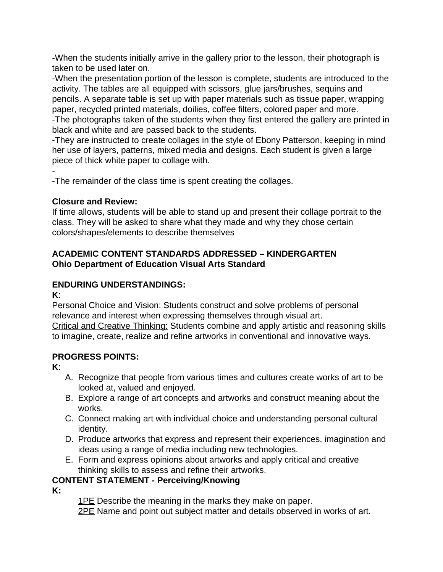-When the students initially arrive in the gallery prior to the lesson, their photograph is taken to be used later on.

-When the presentation portion of the lesson is complete, students are introduced to the activity. The tables are all equipped with scissors, glue jars/brushes, sequins and pencils. A separate table is set up with paper materials such as tissue paper, wrapping paper, recycled printed materials, doilies, coffee filters, colored paper and more. -The photographs taken of the students when they first entered the gallery are printed in black and white and are passed back to the students.

-They are instructed to create collages in the style of Ebony Patterson, keeping in mind her use of layers, patterns, mixed media and designs. Each student is given a large piece of thick white paper to collage with.

-

-The remainder of the class time is spent creating the collages.

#### **Closure and Review:**

If time allows, students will be able to stand up and present their collage portrait to the class. They will be asked to share what they made and why they chose certain colors/shapes/elements to describe themselves

#### **ACADEMIC CONTENT STANDARDS ADDRESSED – KINDERGARTEN Ohio Department of Education Visual Arts Standard**

### **ENDURING UNDERSTANDINGS:**

**K**:

Personal Choice and Vision: Students construct and solve problems of personal relevance and interest when expressing themselves through visual art. Critical and Creative Thinking: Students combine and apply artistic and reasoning skills to imagine, create, realize and refine artworks in conventional and innovative ways.

#### **PROGRESS POINTS:**

**K**:

- A. Recognize that people from various times and cultures create works of art to be looked at, valued and enjoyed.
- B. Explore a range of art concepts and artworks and construct meaning about the works.
- C. Connect making art with individual choice and understanding personal cultural identity.
- D. Produce artworks that express and represent their experiences, imagination and ideas using a range of media including new technologies.
- E. Form and express opinions about artworks and apply critical and creative thinking skills to assess and refine their artworks.

### **CONTENT STATEMENT - Perceiving/Knowing**

**K:**

1PE Describe the meaning in the marks they make on paper.

2PE Name and point out subject matter and details observed in works of art.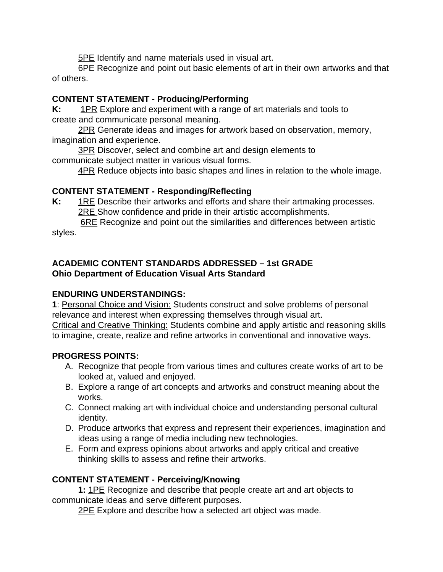**5PE** Identify and name materials used in visual art.

6PE Recognize and point out basic elements of art in their own artworks and that of others.

### **CONTENT STATEMENT - Producing/Performing**

**K:** 1PR Explore and experiment with a range of art materials and tools to create and communicate personal meaning.

2PR Generate ideas and images for artwork based on observation, memory, imagination and experience.

**3PR** Discover, select and combine art and design elements to communicate subject matter in various visual forms.

4PR Reduce objects into basic shapes and lines in relation to the whole image.

# **CONTENT STATEMENT - Responding/Reflecting**

**K:** 1RE Describe their artworks and efforts and share their artmaking processes. 2RE Show confidence and pride in their artistic accomplishments.

**6RE** Recognize and point out the similarities and differences between artistic styles.

# **ACADEMIC CONTENT STANDARDS ADDRESSED – 1st GRADE Ohio Department of Education Visual Arts Standard**

# **ENDURING UNDERSTANDINGS:**

**1**: Personal Choice and Vision: Students construct and solve problems of personal relevance and interest when expressing themselves through visual art. Critical and Creative Thinking: Students combine and apply artistic and reasoning skills to imagine, create, realize and refine artworks in conventional and innovative ways.

# **PROGRESS POINTS:**

- A. Recognize that people from various times and cultures create works of art to be looked at, valued and enjoyed.
- B. Explore a range of art concepts and artworks and construct meaning about the works.
- C. Connect making art with individual choice and understanding personal cultural identity.
- D. Produce artworks that express and represent their experiences, imagination and ideas using a range of media including new technologies.
- E. Form and express opinions about artworks and apply critical and creative thinking skills to assess and refine their artworks.

# **CONTENT STATEMENT - Perceiving/Knowing**

**1:** 1PE Recognize and describe that people create art and art objects to communicate ideas and serve different purposes.

2PE Explore and describe how a selected art object was made.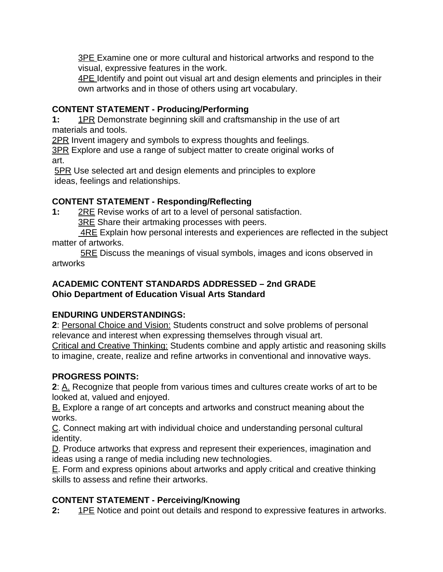**3PE Examine one or more cultural and historical artworks and respond to the** visual, expressive features in the work.

**4PE Identify and point out visual art and design elements and principles in their** own artworks and in those of others using art vocabulary.

### **CONTENT STATEMENT - Producing/Performing**

**1:** 1PR Demonstrate beginning skill and craftsmanship in the use of art materials and tools.

2PR Invent imagery and symbols to express thoughts and feelings.

**3PR Explore and use a range of subject matter to create original works of** art.

5PR Use selected art and design elements and principles to explore ideas, feelings and relationships.

# **CONTENT STATEMENT - Responding/Reflecting**

**1:** 2RE Revise works of art to a level of personal satisfaction.

3RE Share their artmaking processes with peers.

4RE Explain how personal interests and experiences are reflected in the subject matter of artworks.

**<u>5RE</u>** Discuss the meanings of visual symbols, images and icons observed in artworks

### **ACADEMIC CONTENT STANDARDS ADDRESSED – 2nd GRADE Ohio Department of Education Visual Arts Standard**

# **ENDURING UNDERSTANDINGS:**

**2**: Personal Choice and Vision: Students construct and solve problems of personal relevance and interest when expressing themselves through visual art. Critical and Creative Thinking: Students combine and apply artistic and reasoning skills

to imagine, create, realize and refine artworks in conventional and innovative ways.

# **PROGRESS POINTS:**

**2**: A. Recognize that people from various times and cultures create works of art to be looked at, valued and enjoyed.

B. Explore a range of art concepts and artworks and construct meaning about the works.

C. Connect making art with individual choice and understanding personal cultural identity.

D. Produce artworks that express and represent their experiences, imagination and ideas using a range of media including new technologies.

E. Form and express opinions about artworks and apply critical and creative thinking skills to assess and refine their artworks.

# **CONTENT STATEMENT - Perceiving/Knowing**

**2:** 1PE Notice and point out details and respond to expressive features in artworks.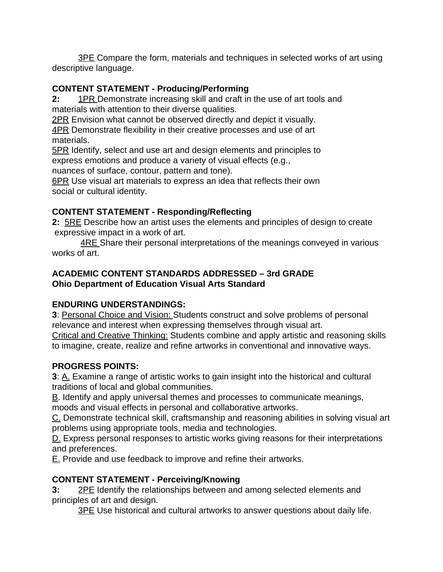**3PE Compare the form, materials and techniques in selected works of art using** descriptive language.

### **CONTENT STATEMENT - Producing/Performing**

**2:** 1PR Demonstrate increasing skill and craft in the use of art tools and materials with attention to their diverse qualities.

2PR Envision what cannot be observed directly and depict it visually.

4PR Demonstrate flexibility in their creative processes and use of art materials.

**<u>5PR</u>** Identify, select and use art and design elements and principles to express emotions and produce a variety of visual effects (e.g.,

nuances of surface, contour, pattern and tone).

6PR Use visual art materials to express an idea that reflects their own social or cultural identity.

# **CONTENT STATEMENT - Responding/Reflecting**

**2:** 5RE Describe how an artist uses the elements and principles of design to create expressive impact in a work of art.

4RE Share their personal interpretations of the meanings conveyed in various works of art.

### **ACADEMIC CONTENT STANDARDS ADDRESSED – 3rd GRADE Ohio Department of Education Visual Arts Standard**

# **ENDURING UNDERSTANDINGS:**

**3**: Personal Choice and Vision: Students construct and solve problems of personal relevance and interest when expressing themselves through visual art.

Critical and Creative Thinking: Students combine and apply artistic and reasoning skills to imagine, create, realize and refine artworks in conventional and innovative ways.

# **PROGRESS POINTS:**

**3**: A. Examine a range of artistic works to gain insight into the historical and cultural traditions of local and global communities.

B. Identify and apply universal themes and processes to communicate meanings, moods and visual effects in personal and collaborative artworks.

C. Demonstrate technical skill, craftsmanship and reasoning abilities in solving visual art problems using appropriate tools, media and technologies.

D. Express personal responses to artistic works giving reasons for their interpretations and preferences.

E. Provide and use feedback to improve and refine their artworks.

# **CONTENT STATEMENT - Perceiving/Knowing**

**3:** 2PE Identify the relationships between and among selected elements and principles of art and design.

3PE Use historical and cultural artworks to answer questions about daily life.